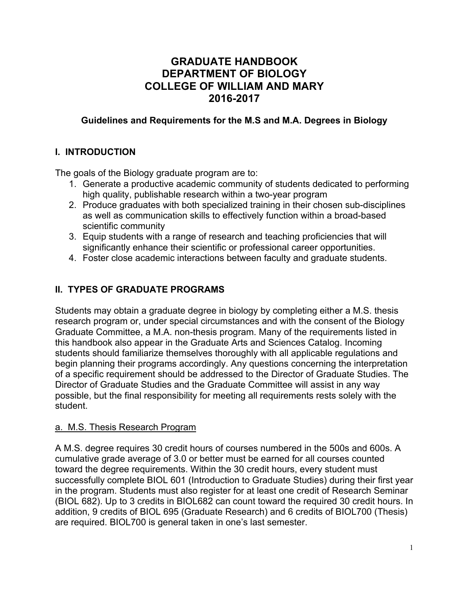# **GRADUATE HANDBOOK DEPARTMENT OF BIOLOGY COLLEGE OF WILLIAM AND MARY 2016-2017**

### **Guidelines and Requirements for the M.S and M.A. Degrees in Biology**

### **I. INTRODUCTION**

The goals of the Biology graduate program are to:

- 1. Generate a productive academic community of students dedicated to performing high quality, publishable research within a two-year program
- 2. Produce graduates with both specialized training in their chosen sub-disciplines as well as communication skills to effectively function within a broad-based scientific community
- 3. Equip students with a range of research and teaching proficiencies that will significantly enhance their scientific or professional career opportunities.
- 4. Foster close academic interactions between faculty and graduate students.

### **II. TYPES OF GRADUATE PROGRAMS**

Students may obtain a graduate degree in biology by completing either a M.S. thesis research program or, under special circumstances and with the consent of the Biology Graduate Committee, a M.A. non-thesis program. Many of the requirements listed in this handbook also appear in the Graduate Arts and Sciences Catalog. Incoming students should familiarize themselves thoroughly with all applicable regulations and begin planning their programs accordingly. Any questions concerning the interpretation of a specific requirement should be addressed to the Director of Graduate Studies. The Director of Graduate Studies and the Graduate Committee will assist in any way possible, but the final responsibility for meeting all requirements rests solely with the student.

#### a. M.S. Thesis Research Program

A M.S. degree requires 30 credit hours of courses numbered in the 500s and 600s. A cumulative grade average of 3.0 or better must be earned for all courses counted toward the degree requirements. Within the 30 credit hours, every student must successfully complete BIOL 601 (Introduction to Graduate Studies) during their first year in the program. Students must also register for at least one credit of Research Seminar (BIOL 682). Up to 3 credits in BIOL682 can count toward the required 30 credit hours. In addition, 9 credits of BIOL 695 (Graduate Research) and 6 credits of BIOL700 (Thesis) are required. BIOL700 is general taken in one's last semester.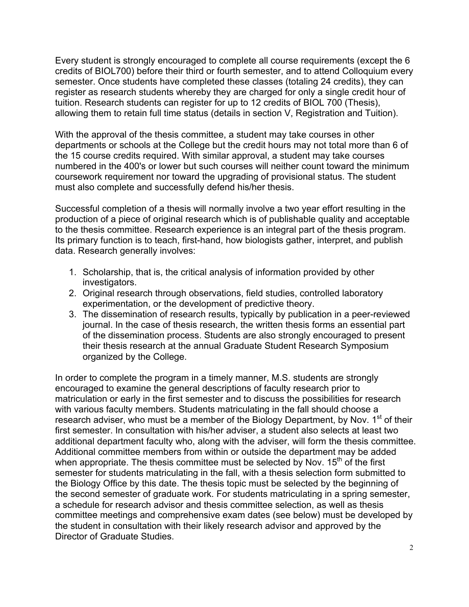Every student is strongly encouraged to complete all course requirements (except the 6 credits of BIOL700) before their third or fourth semester, and to attend Colloquium every semester. Once students have completed these classes (totaling 24 credits), they can register as research students whereby they are charged for only a single credit hour of tuition. Research students can register for up to 12 credits of BIOL 700 (Thesis), allowing them to retain full time status (details in section V, Registration and Tuition).

With the approval of the thesis committee, a student may take courses in other departments or schools at the College but the credit hours may not total more than 6 of the 15 course credits required. With similar approval, a student may take courses numbered in the 400's or lower but such courses will neither count toward the minimum coursework requirement nor toward the upgrading of provisional status. The student must also complete and successfully defend his/her thesis.

Successful completion of a thesis will normally involve a two year effort resulting in the production of a piece of original research which is of publishable quality and acceptable to the thesis committee. Research experience is an integral part of the thesis program. Its primary function is to teach, first-hand, how biologists gather, interpret, and publish data. Research generally involves:

- 1. Scholarship, that is, the critical analysis of information provided by other investigators.
- 2. Original research through observations, field studies, controlled laboratory experimentation, or the development of predictive theory.
- 3. The dissemination of research results, typically by publication in a peer-reviewed journal. In the case of thesis research, the written thesis forms an essential part of the dissemination process. Students are also strongly encouraged to present their thesis research at the annual Graduate Student Research Symposium organized by the College.

In order to complete the program in a timely manner, M.S. students are strongly encouraged to examine the general descriptions of faculty research prior to matriculation or early in the first semester and to discuss the possibilities for research with various faculty members. Students matriculating in the fall should choose a research adviser, who must be a member of the Biology Department, by Nov. 1<sup>st</sup> of their first semester. In consultation with his/her adviser, a student also selects at least two additional department faculty who, along with the adviser, will form the thesis committee. Additional committee members from within or outside the department may be added when appropriate. The thesis committee must be selected by Nov.  $15<sup>th</sup>$  of the first semester for students matriculating in the fall, with a thesis selection form submitted to the Biology Office by this date. The thesis topic must be selected by the beginning of the second semester of graduate work. For students matriculating in a spring semester, a schedule for research advisor and thesis committee selection, as well as thesis committee meetings and comprehensive exam dates (see below) must be developed by the student in consultation with their likely research advisor and approved by the Director of Graduate Studies.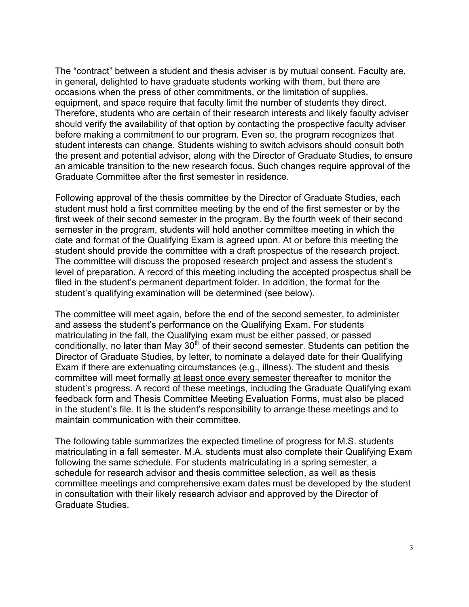The "contract" between a student and thesis adviser is by mutual consent. Faculty are, in general, delighted to have graduate students working with them, but there are occasions when the press of other commitments, or the limitation of supplies, equipment, and space require that faculty limit the number of students they direct. Therefore, students who are certain of their research interests and likely faculty adviser should verify the availability of that option by contacting the prospective faculty adviser before making a commitment to our program. Even so, the program recognizes that student interests can change. Students wishing to switch advisors should consult both the present and potential advisor, along with the Director of Graduate Studies, to ensure an amicable transition to the new research focus. Such changes require approval of the Graduate Committee after the first semester in residence.

Following approval of the thesis committee by the Director of Graduate Studies, each student must hold a first committee meeting by the end of the first semester or by the first week of their second semester in the program. By the fourth week of their second semester in the program, students will hold another committee meeting in which the date and format of the Qualifying Exam is agreed upon. At or before this meeting the student should provide the committee with a draft prospectus of the research project. The committee will discuss the proposed research project and assess the student's level of preparation. A record of this meeting including the accepted prospectus shall be filed in the student's permanent department folder. In addition, the format for the student's qualifying examination will be determined (see below).

The committee will meet again, before the end of the second semester, to administer and assess the student's performance on the Qualifying Exam. For students matriculating in the fall, the Qualifying exam must be either passed, or passed conditionally, no later than May  $30<sup>th</sup>$  of their second semester. Students can petition the Director of Graduate Studies, by letter, to nominate a delayed date for their Qualifying Exam if there are extenuating circumstances (e.g., illness). The student and thesis committee will meet formally at least once every semester thereafter to monitor the student's progress. A record of these meetings, including the Graduate Qualifying exam feedback form and Thesis Committee Meeting Evaluation Forms, must also be placed in the student's file. It is the student's responsibility to arrange these meetings and to maintain communication with their committee.

The following table summarizes the expected timeline of progress for M.S. students matriculating in a fall semester. M.A. students must also complete their Qualifying Exam following the same schedule. For students matriculating in a spring semester, a schedule for research advisor and thesis committee selection, as well as thesis committee meetings and comprehensive exam dates must be developed by the student in consultation with their likely research advisor and approved by the Director of Graduate Studies.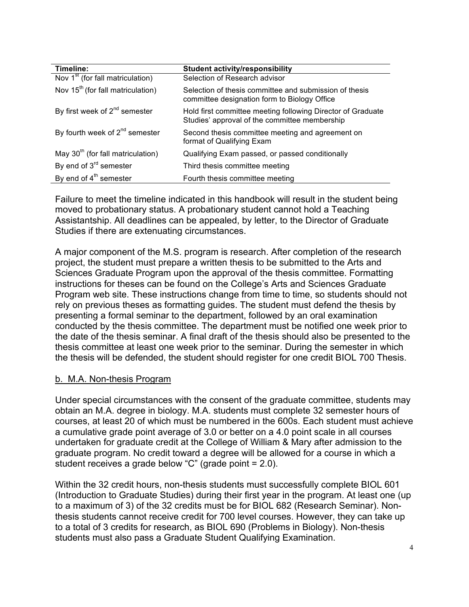| Timeline:                                     | <b>Student activity/responsibility</b>                                                                       |
|-----------------------------------------------|--------------------------------------------------------------------------------------------------------------|
| Nov 1 <sup>st</sup> (for fall matriculation)  | Selection of Research advisor                                                                                |
| Nov 15 <sup>th</sup> (for fall matriculation) | Selection of thesis committee and submission of thesis<br>committee designation form to Biology Office       |
| By first week of $2^{nd}$ semester            | Hold first committee meeting following Director of Graduate<br>Studies' approval of the committee membership |
| By fourth week of $2^{nd}$ semester           | Second thesis committee meeting and agreement on<br>format of Qualifying Exam                                |
| May $30th$ (for fall matriculation)           | Qualifying Exam passed, or passed conditionally                                                              |
| By end of $3^{rd}$ semester                   | Third thesis committee meeting                                                                               |
| By end of $4th$ semester                      | Fourth thesis committee meeting                                                                              |

Failure to meet the timeline indicated in this handbook will result in the student being moved to probationary status. A probationary student cannot hold a Teaching Assistantship. All deadlines can be appealed, by letter, to the Director of Graduate Studies if there are extenuating circumstances.

A major component of the M.S. program is research. After completion of the research project, the student must prepare a written thesis to be submitted to the Arts and Sciences Graduate Program upon the approval of the thesis committee. Formatting instructions for theses can be found on the College's Arts and Sciences Graduate Program web site. These instructions change from time to time, so students should not rely on previous theses as formatting guides. The student must defend the thesis by presenting a formal seminar to the department, followed by an oral examination conducted by the thesis committee. The department must be notified one week prior to the date of the thesis seminar. A final draft of the thesis should also be presented to the thesis committee at least one week prior to the seminar. During the semester in which the thesis will be defended, the student should register for one credit BIOL 700 Thesis.

### b. M.A. Non-thesis Program

Under special circumstances with the consent of the graduate committee, students may obtain an M.A. degree in biology. M.A. students must complete 32 semester hours of courses, at least 20 of which must be numbered in the 600s. Each student must achieve a cumulative grade point average of 3.0 or better on a 4.0 point scale in all courses undertaken for graduate credit at the College of William & Mary after admission to the graduate program. No credit toward a degree will be allowed for a course in which a student receives a grade below "C" (grade point = 2.0).

Within the 32 credit hours, non-thesis students must successfully complete BIOL 601 (Introduction to Graduate Studies) during their first year in the program. At least one (up to a maximum of 3) of the 32 credits must be for BIOL 682 (Research Seminar). Nonthesis students cannot receive credit for 700 level courses. However, they can take up to a total of 3 credits for research, as BIOL 690 (Problems in Biology). Non-thesis students must also pass a Graduate Student Qualifying Examination.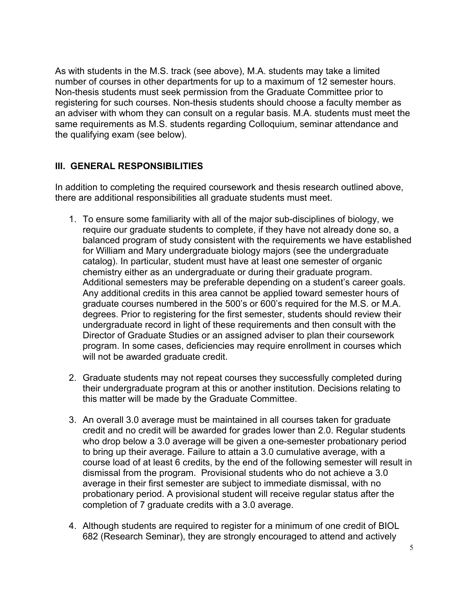As with students in the M.S. track (see above), M.A. students may take a limited number of courses in other departments for up to a maximum of 12 semester hours. Non-thesis students must seek permission from the Graduate Committee prior to registering for such courses. Non-thesis students should choose a faculty member as an adviser with whom they can consult on a regular basis. M.A. students must meet the same requirements as M.S. students regarding Colloquium, seminar attendance and the qualifying exam (see below).

### **III. GENERAL RESPONSIBILITIES**

In addition to completing the required coursework and thesis research outlined above, there are additional responsibilities all graduate students must meet.

- 1. To ensure some familiarity with all of the major sub-disciplines of biology, we require our graduate students to complete, if they have not already done so, a balanced program of study consistent with the requirements we have established for William and Mary undergraduate biology majors (see the undergraduate catalog). In particular, student must have at least one semester of organic chemistry either as an undergraduate or during their graduate program. Additional semesters may be preferable depending on a student's career goals. Any additional credits in this area cannot be applied toward semester hours of graduate courses numbered in the 500's or 600's required for the M.S. or M.A. degrees. Prior to registering for the first semester, students should review their undergraduate record in light of these requirements and then consult with the Director of Graduate Studies or an assigned adviser to plan their coursework program. In some cases, deficiencies may require enrollment in courses which will not be awarded graduate credit.
- 2. Graduate students may not repeat courses they successfully completed during their undergraduate program at this or another institution. Decisions relating to this matter will be made by the Graduate Committee.
- 3. An overall 3.0 average must be maintained in all courses taken for graduate credit and no credit will be awarded for grades lower than 2.0. Regular students who drop below a 3.0 average will be given a one-semester probationary period to bring up their average. Failure to attain a 3.0 cumulative average, with a course load of at least 6 credits, by the end of the following semester will result in dismissal from the program. Provisional students who do not achieve a 3.0 average in their first semester are subject to immediate dismissal, with no probationary period. A provisional student will receive regular status after the completion of 7 graduate credits with a 3.0 average.
- 4. Although students are required to register for a minimum of one credit of BIOL 682 (Research Seminar), they are strongly encouraged to attend and actively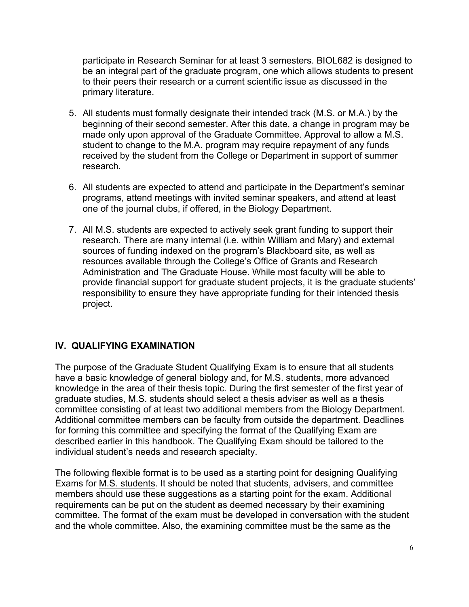participate in Research Seminar for at least 3 semesters. BIOL682 is designed to be an integral part of the graduate program, one which allows students to present to their peers their research or a current scientific issue as discussed in the primary literature.

- 5. All students must formally designate their intended track (M.S. or M.A.) by the beginning of their second semester. After this date, a change in program may be made only upon approval of the Graduate Committee. Approval to allow a M.S. student to change to the M.A. program may require repayment of any funds received by the student from the College or Department in support of summer research.
- 6. All students are expected to attend and participate in the Department's seminar programs, attend meetings with invited seminar speakers, and attend at least one of the journal clubs, if offered, in the Biology Department.
- 7. All M.S. students are expected to actively seek grant funding to support their research. There are many internal (i.e. within William and Mary) and external sources of funding indexed on the program's Blackboard site, as well as resources available through the College's Office of Grants and Research Administration and The Graduate House. While most faculty will be able to provide financial support for graduate student projects, it is the graduate students' responsibility to ensure they have appropriate funding for their intended thesis project.

### **IV. QUALIFYING EXAMINATION**

The purpose of the Graduate Student Qualifying Exam is to ensure that all students have a basic knowledge of general biology and, for M.S. students, more advanced knowledge in the area of their thesis topic. During the first semester of the first year of graduate studies, M.S. students should select a thesis adviser as well as a thesis committee consisting of at least two additional members from the Biology Department. Additional committee members can be faculty from outside the department. Deadlines for forming this committee and specifying the format of the Qualifying Exam are described earlier in this handbook. The Qualifying Exam should be tailored to the individual student's needs and research specialty.

The following flexible format is to be used as a starting point for designing Qualifying Exams for M.S. students. It should be noted that students, advisers, and committee members should use these suggestions as a starting point for the exam. Additional requirements can be put on the student as deemed necessary by their examining committee. The format of the exam must be developed in conversation with the student and the whole committee. Also, the examining committee must be the same as the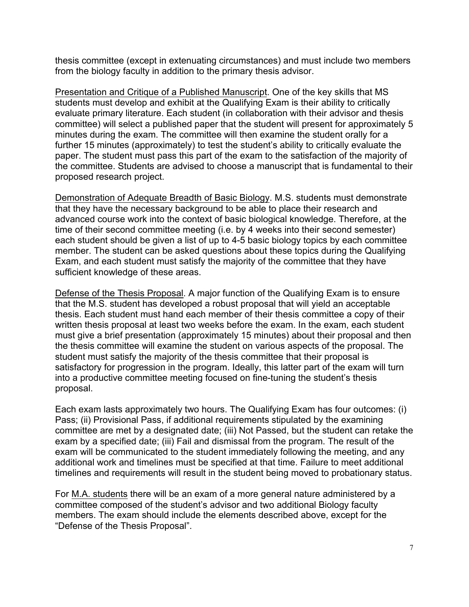thesis committee (except in extenuating circumstances) and must include two members from the biology faculty in addition to the primary thesis advisor.

Presentation and Critique of a Published Manuscript. One of the key skills that MS students must develop and exhibit at the Qualifying Exam is their ability to critically evaluate primary literature. Each student (in collaboration with their advisor and thesis committee) will select a published paper that the student will present for approximately 5 minutes during the exam. The committee will then examine the student orally for a further 15 minutes (approximately) to test the student's ability to critically evaluate the paper. The student must pass this part of the exam to the satisfaction of the majority of the committee. Students are advised to choose a manuscript that is fundamental to their proposed research project.

Demonstration of Adequate Breadth of Basic Biology. M.S. students must demonstrate that they have the necessary background to be able to place their research and advanced course work into the context of basic biological knowledge. Therefore, at the time of their second committee meeting (i.e. by 4 weeks into their second semester) each student should be given a list of up to 4-5 basic biology topics by each committee member. The student can be asked questions about these topics during the Qualifying Exam, and each student must satisfy the majority of the committee that they have sufficient knowledge of these areas.

Defense of the Thesis Proposal. A major function of the Qualifying Exam is to ensure that the M.S. student has developed a robust proposal that will yield an acceptable thesis. Each student must hand each member of their thesis committee a copy of their written thesis proposal at least two weeks before the exam. In the exam, each student must give a brief presentation (approximately 15 minutes) about their proposal and then the thesis committee will examine the student on various aspects of the proposal. The student must satisfy the majority of the thesis committee that their proposal is satisfactory for progression in the program. Ideally, this latter part of the exam will turn into a productive committee meeting focused on fine-tuning the student's thesis proposal.

Each exam lasts approximately two hours. The Qualifying Exam has four outcomes: (i) Pass; (ii) Provisional Pass, if additional requirements stipulated by the examining committee are met by a designated date; (iii) Not Passed, but the student can retake the exam by a specified date; (iii) Fail and dismissal from the program. The result of the exam will be communicated to the student immediately following the meeting, and any additional work and timelines must be specified at that time. Failure to meet additional timelines and requirements will result in the student being moved to probationary status.

For M.A. students there will be an exam of a more general nature administered by a committee composed of the student's advisor and two additional Biology faculty members. The exam should include the elements described above, except for the "Defense of the Thesis Proposal".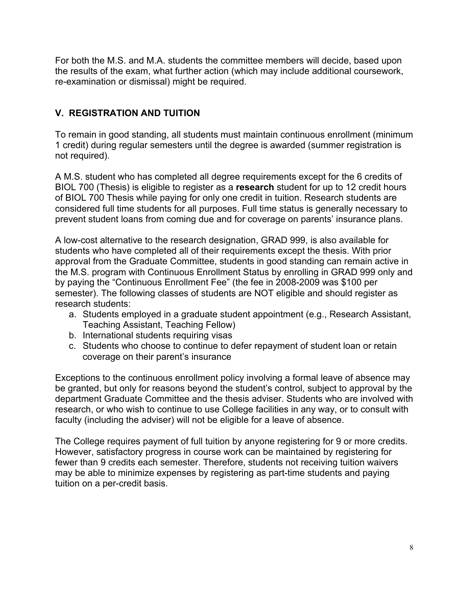For both the M.S. and M.A. students the committee members will decide, based upon the results of the exam, what further action (which may include additional coursework, re-examination or dismissal) might be required.

## **V. REGISTRATION AND TUITION**

To remain in good standing, all students must maintain continuous enrollment (minimum 1 credit) during regular semesters until the degree is awarded (summer registration is not required).

A M.S. student who has completed all degree requirements except for the 6 credits of BIOL 700 (Thesis) is eligible to register as a **research** student for up to 12 credit hours of BIOL 700 Thesis while paying for only one credit in tuition. Research students are considered full time students for all purposes. Full time status is generally necessary to prevent student loans from coming due and for coverage on parents' insurance plans.

A low-cost alternative to the research designation, GRAD 999, is also available for students who have completed all of their requirements except the thesis. With prior approval from the Graduate Committee, students in good standing can remain active in the M.S. program with Continuous Enrollment Status by enrolling in GRAD 999 only and by paying the "Continuous Enrollment Fee" (the fee in 2008-2009 was \$100 per semester). The following classes of students are NOT eligible and should register as research students:

- a. Students employed in a graduate student appointment (e.g., Research Assistant, Teaching Assistant, Teaching Fellow)
- b. International students requiring visas
- c. Students who choose to continue to defer repayment of student loan or retain coverage on their parent's insurance

Exceptions to the continuous enrollment policy involving a formal leave of absence may be granted, but only for reasons beyond the student's control, subject to approval by the department Graduate Committee and the thesis adviser. Students who are involved with research, or who wish to continue to use College facilities in any way, or to consult with faculty (including the adviser) will not be eligible for a leave of absence.

The College requires payment of full tuition by anyone registering for 9 or more credits. However, satisfactory progress in course work can be maintained by registering for fewer than 9 credits each semester. Therefore, students not receiving tuition waivers may be able to minimize expenses by registering as part-time students and paying tuition on a per-credit basis.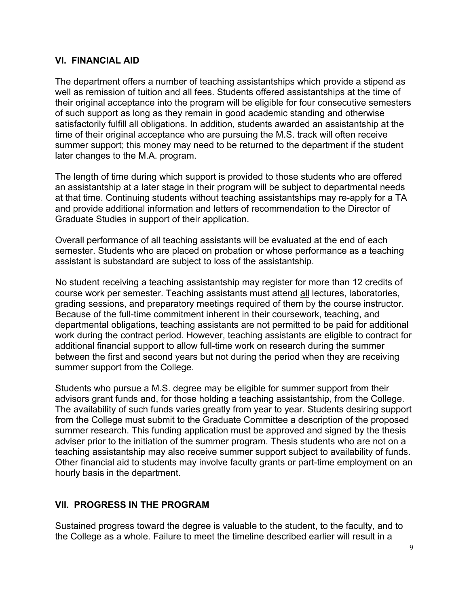#### **VI. FINANCIAL AID**

The department offers a number of teaching assistantships which provide a stipend as well as remission of tuition and all fees. Students offered assistantships at the time of their original acceptance into the program will be eligible for four consecutive semesters of such support as long as they remain in good academic standing and otherwise satisfactorily fulfill all obligations. In addition, students awarded an assistantship at the time of their original acceptance who are pursuing the M.S. track will often receive summer support; this money may need to be returned to the department if the student later changes to the M.A. program.

The length of time during which support is provided to those students who are offered an assistantship at a later stage in their program will be subject to departmental needs at that time. Continuing students without teaching assistantships may re-apply for a TA and provide additional information and letters of recommendation to the Director of Graduate Studies in support of their application.

Overall performance of all teaching assistants will be evaluated at the end of each semester. Students who are placed on probation or whose performance as a teaching assistant is substandard are subject to loss of the assistantship.

No student receiving a teaching assistantship may register for more than 12 credits of course work per semester. Teaching assistants must attend all lectures, laboratories, grading sessions, and preparatory meetings required of them by the course instructor. Because of the full-time commitment inherent in their coursework, teaching, and departmental obligations, teaching assistants are not permitted to be paid for additional work during the contract period. However, teaching assistants are eligible to contract for additional financial support to allow full-time work on research during the summer between the first and second years but not during the period when they are receiving summer support from the College.

Students who pursue a M.S. degree may be eligible for summer support from their advisors grant funds and, for those holding a teaching assistantship, from the College. The availability of such funds varies greatly from year to year. Students desiring support from the College must submit to the Graduate Committee a description of the proposed summer research. This funding application must be approved and signed by the thesis adviser prior to the initiation of the summer program. Thesis students who are not on a teaching assistantship may also receive summer support subject to availability of funds. Other financial aid to students may involve faculty grants or part-time employment on an hourly basis in the department.

### **VII. PROGRESS IN THE PROGRAM**

Sustained progress toward the degree is valuable to the student, to the faculty, and to the College as a whole. Failure to meet the timeline described earlier will result in a